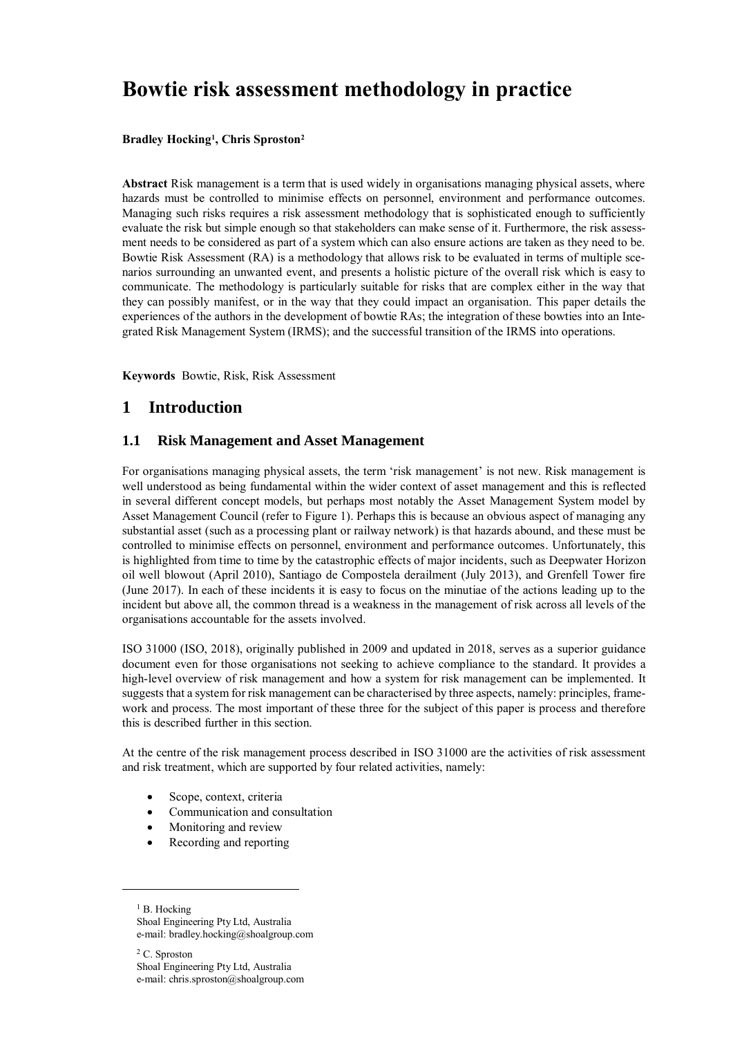# **Bowtie risk assessment methodology in practice**

## **Bradley Hocking<sup>1</sup> , Chris Sproston<sup>2</sup>**

**Abstract** Risk management is a term that is used widely in organisations managing physical assets, where hazards must be controlled to minimise effects on personnel, environment and performance outcomes. Managing such risks requires a risk assessment methodology that is sophisticated enough to sufficiently evaluate the risk but simple enough so that stakeholders can make sense of it. Furthermore, the risk assessment needs to be considered as part of a system which can also ensure actions are taken as they need to be. Bowtie Risk Assessment (RA) is a methodology that allows risk to be evaluated in terms of multiple scenarios surrounding an unwanted event, and presents a holistic picture of the overall risk which is easy to communicate. The methodology is particularly suitable for risks that are complex either in the way that they can possibly manifest, or in the way that they could impact an organisation. This paper details the experiences of the authors in the development of bowtie RAs; the integration of these bowties into an Integrated Risk Management System (IRMS); and the successful transition of the IRMS into operations.

**Keywords** Bowtie, Risk, Risk Assessment

## **1 Introduction**

## **1.1 Risk Management and Asset Management**

For organisations managing physical assets, the term 'risk management' is not new. Risk management is well understood as being fundamental within the wider context of asset management and this is reflected in several different concept models, but perhaps most notably the Asset Management System model by Asset Management Council (refer to [Figure 1\)](#page-1-0). Perhaps this is because an obvious aspect of managing any substantial asset (such as a processing plant or railway network) is that hazards abound, and these must be controlled to minimise effects on personnel, environment and performance outcomes. Unfortunately, this is highlighted from time to time by the catastrophic effects of major incidents, such as Deepwater Horizon oil well blowout (April 2010), Santiago de Compostela derailment (July 2013), and Grenfell Tower fire (June 2017). In each of these incidents it is easy to focus on the minutiae of the actions leading up to the incident but above all, the common thread is a weakness in the management of risk across all levels of the organisations accountable for the assets involved.

ISO 31000 (ISO, 2018), originally published in 2009 and updated in 2018, serves as a superior guidance document even for those organisations not seeking to achieve compliance to the standard. It provides a high-level overview of risk management and how a system for risk management can be implemented. It suggests that a system for risk management can be characterised by three aspects, namely: principles, framework and process. The most important of these three for the subject of this paper is process and therefore this is described further in this section.

At the centre of the risk management process described in ISO 31000 are the activities of risk assessment and risk treatment, which are supported by four related activities, namely:

- Scope, context, criteria
- Communication and consultation
- Monitoring and review

-

Recording and reporting

<sup>1</sup> B. Hocking Shoal Engineering Pty Ltd, Australia e-mail: bradley.hocking@shoalgroup.com

<sup>2</sup> C. Sproston Shoal Engineering Pty Ltd, Australia e-mail: chris.sproston@shoalgroup.com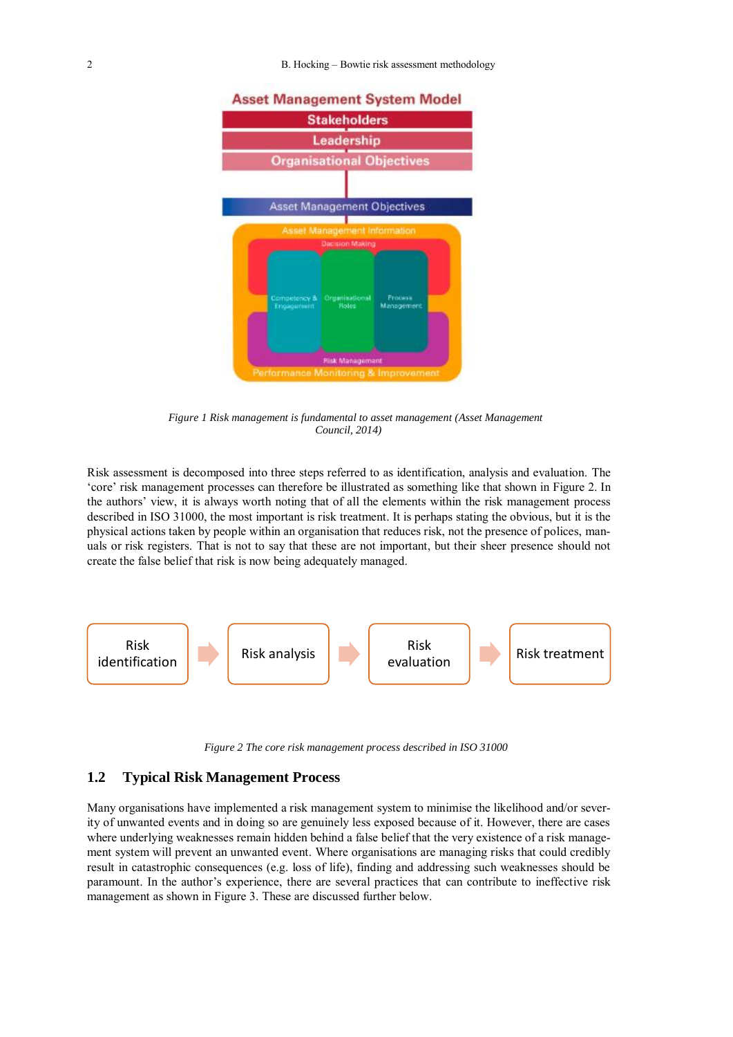

<span id="page-1-0"></span>*Figure 1 Risk management is fundamental to asset management (Asset Management Council, 2014)*

Risk assessment is decomposed into three steps referred to as identification, analysis and evaluation. The 'core' risk management processes can therefore be illustrated as something like that shown in [Figure 2.](#page-1-1) In the authors' view, it is always worth noting that of all the elements within the risk management process described in ISO 31000, the most important is risk treatment. It is perhaps stating the obvious, but it is the physical actions taken by people within an organisation that reduces risk, not the presence of polices, manuals or risk registers. That is not to say that these are not important, but their sheer presence should not create the false belief that risk is now being adequately managed.



*Figure 2 The core risk management process described in ISO 31000*

## <span id="page-1-1"></span>**1.2 Typical Risk Management Process**

Many organisations have implemented a risk management system to minimise the likelihood and/or severity of unwanted events and in doing so are genuinely less exposed because of it. However, there are cases where underlying weaknesses remain hidden behind a false belief that the very existence of a risk management system will prevent an unwanted event. Where organisations are managing risks that could credibly result in catastrophic consequences (e.g. loss of life), finding and addressing such weaknesses should be paramount. In the author's experience, there are several practices that can contribute to ineffective risk management as shown in [Figure 3.](#page-2-0) These are discussed further below.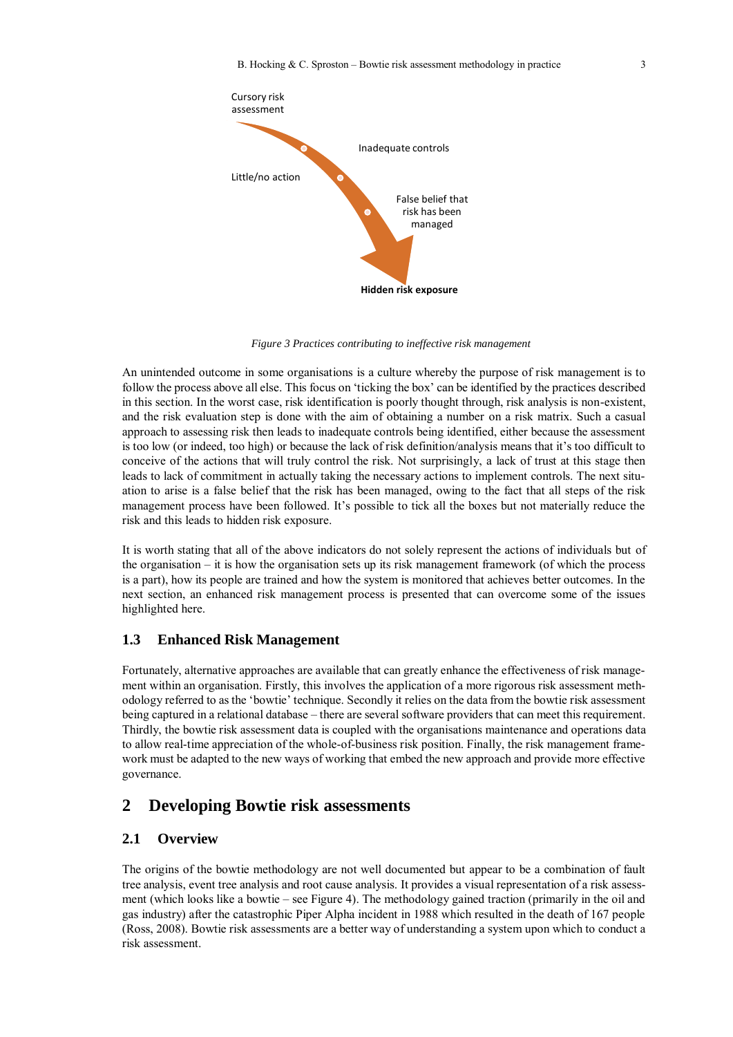

*Figure 3 Practices contributing to ineffective risk management*

<span id="page-2-0"></span>An unintended outcome in some organisations is a culture whereby the purpose of risk management is to follow the process above all else. This focus on 'ticking the box' can be identified by the practices described in this section. In the worst case, risk identification is poorly thought through, risk analysis is non-existent, and the risk evaluation step is done with the aim of obtaining a number on a risk matrix. Such a casual approach to assessing risk then leads to inadequate controls being identified, either because the assessment is too low (or indeed, too high) or because the lack of risk definition/analysis means that it's too difficult to conceive of the actions that will truly control the risk. Not surprisingly, a lack of trust at this stage then leads to lack of commitment in actually taking the necessary actions to implement controls. The next situation to arise is a false belief that the risk has been managed, owing to the fact that all steps of the risk management process have been followed. It's possible to tick all the boxes but not materially reduce the risk and this leads to hidden risk exposure.

It is worth stating that all of the above indicators do not solely represent the actions of individuals but of the organisation – it is how the organisation sets up its risk management framework (of which the process is a part), how its people are trained and how the system is monitored that achieves better outcomes. In the next section, an enhanced risk management process is presented that can overcome some of the issues highlighted here.

## **1.3 Enhanced Risk Management**

Fortunately, alternative approaches are available that can greatly enhance the effectiveness of risk management within an organisation. Firstly, this involves the application of a more rigorous risk assessment methodology referred to as the 'bowtie' technique. Secondly it relies on the data from the bowtie risk assessment being captured in a relational database – there are several software providers that can meet this requirement. Thirdly, the bowtie risk assessment data is coupled with the organisations maintenance and operations data to allow real-time appreciation of the whole-of-business risk position. Finally, the risk management framework must be adapted to the new ways of working that embed the new approach and provide more effective governance.

## **2 Developing Bowtie risk assessments**

## **2.1 Overview**

The origins of the bowtie methodology are not well documented but appear to be a combination of fault tree analysis, event tree analysis and root cause analysis. It provides a visual representation of a risk assessment (which looks like a bowtie – see [Figure 4\)](#page-3-0). The methodology gained traction (primarily in the oil and gas industry) after the catastrophic Piper Alpha incident in 1988 which resulted in the death of 167 people (Ross, 2008). Bowtie risk assessments are a better way of understanding a system upon which to conduct a risk assessment.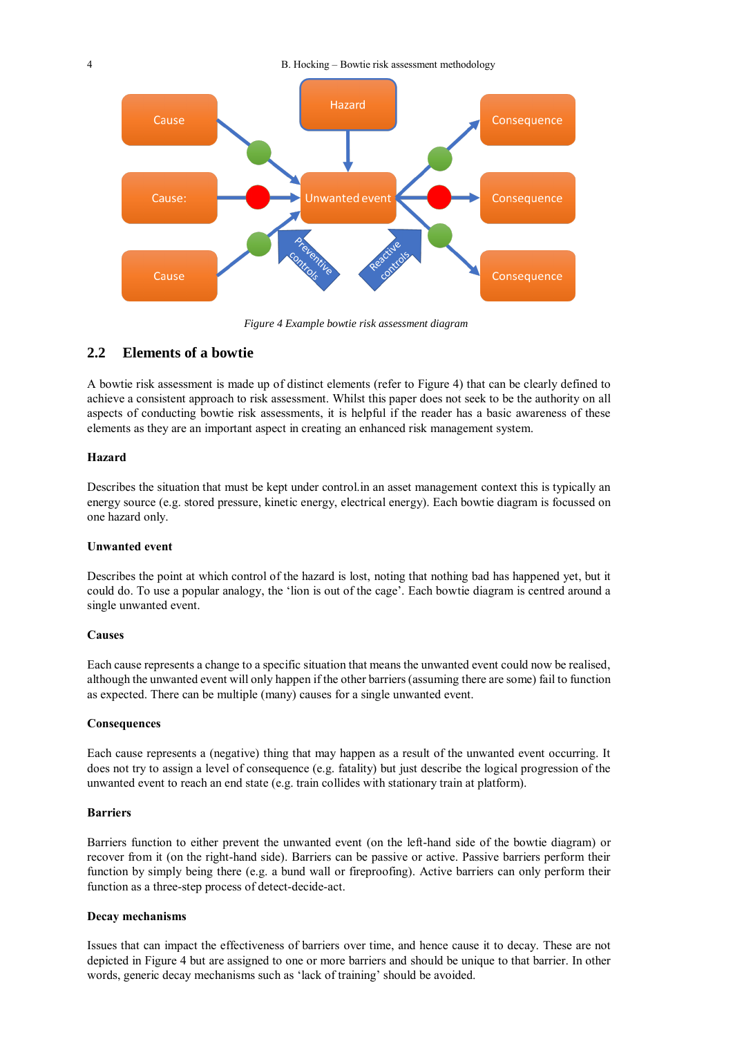

*Figure 4 Example bowtie risk assessment diagram*

## <span id="page-3-0"></span>**2.2 Elements of a bowtie**

A bowtie risk assessment is made up of distinct elements (refer to [Figure 4\)](#page-3-0) that can be clearly defined to achieve a consistent approach to risk assessment. Whilst this paper does not seek to be the authority on all aspects of conducting bowtie risk assessments, it is helpful if the reader has a basic awareness of these elements as they are an important aspect in creating an enhanced risk management system.

## **Hazard**

Describes the situation that must be kept under control.in an asset management context this is typically an energy source (e.g. stored pressure, kinetic energy, electrical energy). Each bowtie diagram is focussed on one hazard only.

## **Unwanted event**

Describes the point at which control of the hazard is lost, noting that nothing bad has happened yet, but it could do. To use a popular analogy, the 'lion is out of the cage'. Each bowtie diagram is centred around a single unwanted event.

#### **Causes**

Each cause represents a change to a specific situation that means the unwanted event could now be realised, although the unwanted event will only happen if the other barriers (assuming there are some) fail to function as expected. There can be multiple (many) causes for a single unwanted event.

## **Consequences**

Each cause represents a (negative) thing that may happen as a result of the unwanted event occurring. It does not try to assign a level of consequence (e.g. fatality) but just describe the logical progression of the unwanted event to reach an end state (e.g. train collides with stationary train at platform).

#### **Barriers**

Barriers function to either prevent the unwanted event (on the left-hand side of the bowtie diagram) or recover from it (on the right-hand side). Barriers can be passive or active. Passive barriers perform their function by simply being there (e.g. a bund wall or fireproofing). Active barriers can only perform their function as a three-step process of detect-decide-act.

#### **Decay mechanisms**

Issues that can impact the effectiveness of barriers over time, and hence cause it to decay. These are not depicted in [Figure 4](#page-3-0) but are assigned to one or more barriers and should be unique to that barrier. In other words, generic decay mechanisms such as 'lack of training' should be avoided.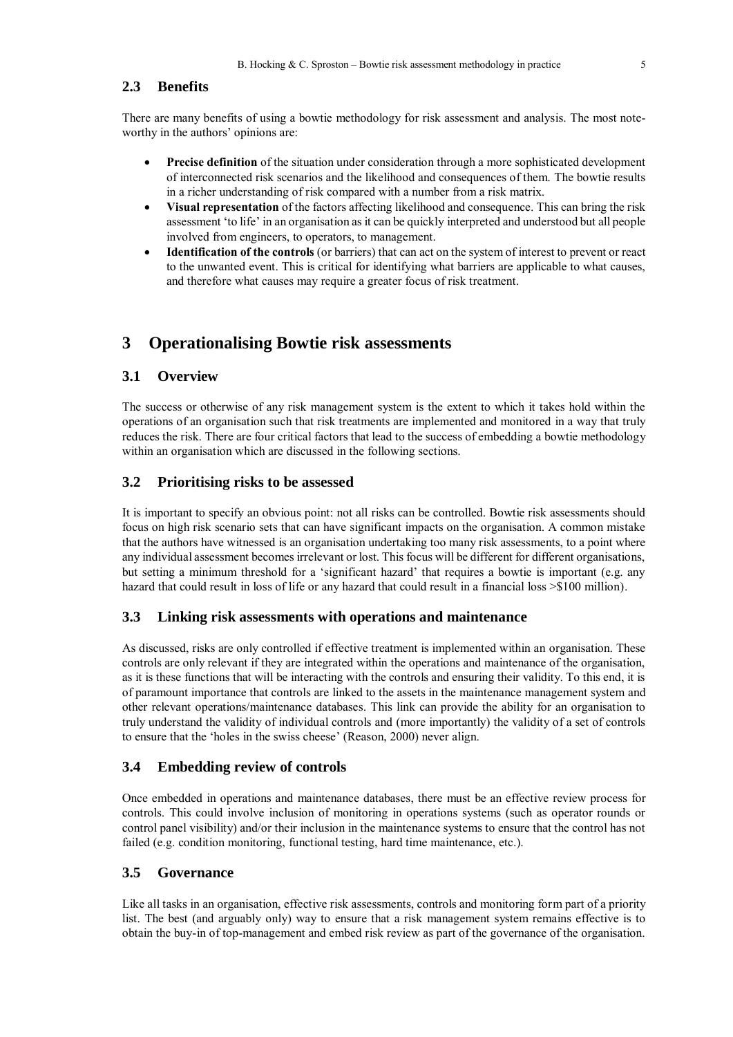## **2.3 Benefits**

There are many benefits of using a bowtie methodology for risk assessment and analysis. The most noteworthy in the authors' opinions are:

- **Precise definition** of the situation under consideration through a more sophisticated development of interconnected risk scenarios and the likelihood and consequences of them. The bowtie results in a richer understanding of risk compared with a number from a risk matrix.
- **Visual representation** of the factors affecting likelihood and consequence. This can bring the risk assessment 'to life' in an organisation as it can be quickly interpreted and understood but all people involved from engineers, to operators, to management.
- **Identification of the controls** (or barriers) that can act on the system of interest to prevent or react to the unwanted event. This is critical for identifying what barriers are applicable to what causes, and therefore what causes may require a greater focus of risk treatment.

## **3 Operationalising Bowtie risk assessments**

## **3.1 Overview**

The success or otherwise of any risk management system is the extent to which it takes hold within the operations of an organisation such that risk treatments are implemented and monitored in a way that truly reduces the risk. There are four critical factors that lead to the success of embedding a bowtie methodology within an organisation which are discussed in the following sections.

## **3.2 Prioritising risks to be assessed**

It is important to specify an obvious point: not all risks can be controlled. Bowtie risk assessments should focus on high risk scenario sets that can have significant impacts on the organisation. A common mistake that the authors have witnessed is an organisation undertaking too many risk assessments, to a point where any individual assessment becomes irrelevant or lost. This focus will be different for different organisations, but setting a minimum threshold for a 'significant hazard' that requires a bowtie is important (e.g. any hazard that could result in loss of life or any hazard that could result in a financial loss  $\geq$  100 million).

## **3.3 Linking risk assessments with operations and maintenance**

As discussed, risks are only controlled if effective treatment is implemented within an organisation. These controls are only relevant if they are integrated within the operations and maintenance of the organisation, as it is these functions that will be interacting with the controls and ensuring their validity. To this end, it is of paramount importance that controls are linked to the assets in the maintenance management system and other relevant operations/maintenance databases. This link can provide the ability for an organisation to truly understand the validity of individual controls and (more importantly) the validity of a set of controls to ensure that the 'holes in the swiss cheese' (Reason, 2000) never align.

## **3.4 Embedding review of controls**

Once embedded in operations and maintenance databases, there must be an effective review process for controls. This could involve inclusion of monitoring in operations systems (such as operator rounds or control panel visibility) and/or their inclusion in the maintenance systems to ensure that the control has not failed (e.g. condition monitoring, functional testing, hard time maintenance, etc.).

## **3.5 Governance**

Like all tasks in an organisation, effective risk assessments, controls and monitoring form part of a priority list. The best (and arguably only) way to ensure that a risk management system remains effective is to obtain the buy-in of top-management and embed risk review as part of the governance of the organisation.